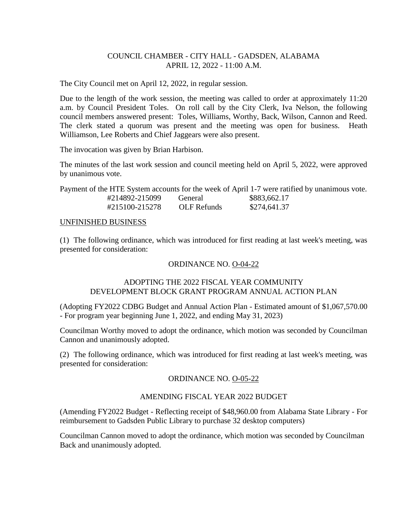## COUNCIL CHAMBER - CITY HALL - GADSDEN, ALABAMA APRIL 12, 2022 - 11:00 A.M.

The City Council met on April 12, 2022, in regular session.

Due to the length of the work session, the meeting was called to order at approximately 11:20 a.m. by Council President Toles. On roll call by the City Clerk, Iva Nelson, the following council members answered present: Toles, Williams, Worthy, Back, Wilson, Cannon and Reed. The clerk stated a quorum was present and the meeting was open for business. Heath Williamson, Lee Roberts and Chief Jaggears were also present.

The invocation was given by Brian Harbison.

The minutes of the last work session and council meeting held on April 5, 2022, were approved by unanimous vote.

Payment of the HTE System accounts for the week of April 1-7 were ratified by unanimous vote.

| #214892-215099 | General     | \$883,662.17 |
|----------------|-------------|--------------|
| #215100-215278 | OLF Refunds | \$274,641.37 |

## UNFINISHED BUSINESS

(1) The following ordinance, which was introduced for first reading at last week's meeting, was presented for consideration:

# ORDINANCE NO. O-04-22

## ADOPTING THE 2022 FISCAL YEAR COMMUNITY DEVELOPMENT BLOCK GRANT PROGRAM ANNUAL ACTION PLAN

(Adopting FY2022 CDBG Budget and Annual Action Plan - Estimated amount of \$1,067,570.00 - For program year beginning June 1, 2022, and ending May 31, 2023)

Councilman Worthy moved to adopt the ordinance, which motion was seconded by Councilman Cannon and unanimously adopted.

(2) The following ordinance, which was introduced for first reading at last week's meeting, was presented for consideration:

# ORDINANCE NO. O-05-22

# AMENDING FISCAL YEAR 2022 BUDGET

(Amending FY2022 Budget - Reflecting receipt of \$48,960.00 from Alabama State Library - For reimbursement to Gadsden Public Library to purchase 32 desktop computers)

Councilman Cannon moved to adopt the ordinance, which motion was seconded by Councilman Back and unanimously adopted.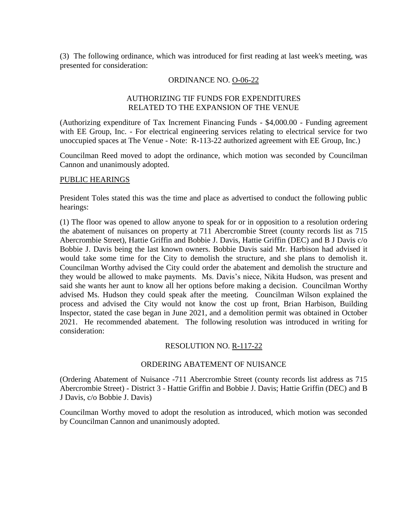(3) The following ordinance, which was introduced for first reading at last week's meeting, was presented for consideration:

### ORDINANCE NO. O-06-22

## AUTHORIZING TIF FUNDS FOR EXPENDITURES RELATED TO THE EXPANSION OF THE VENUE

(Authorizing expenditure of Tax Increment Financing Funds - \$4,000.00 - Funding agreement with EE Group, Inc. - For electrical engineering services relating to electrical service for two unoccupied spaces at The Venue - Note: R-113-22 authorized agreement with EE Group, Inc.)

Councilman Reed moved to adopt the ordinance, which motion was seconded by Councilman Cannon and unanimously adopted.

## PUBLIC HEARINGS

President Toles stated this was the time and place as advertised to conduct the following public hearings:

(1) The floor was opened to allow anyone to speak for or in opposition to a resolution ordering the abatement of nuisances on property at 711 Abercrombie Street (county records list as 715 Abercrombie Street), Hattie Griffin and Bobbie J. Davis, Hattie Griffin (DEC) and B J Davis c/o Bobbie J. Davis being the last known owners. Bobbie Davis said Mr. Harbison had advised it would take some time for the City to demolish the structure, and she plans to demolish it. Councilman Worthy advised the City could order the abatement and demolish the structure and they would be allowed to make payments. Ms. Davis's niece, Nikita Hudson, was present and said she wants her aunt to know all her options before making a decision. Councilman Worthy advised Ms. Hudson they could speak after the meeting. Councilman Wilson explained the process and advised the City would not know the cost up front, Brian Harbison, Building Inspector, stated the case began in June 2021, and a demolition permit was obtained in October 2021. He recommended abatement. The following resolution was introduced in writing for consideration:

### RESOLUTION NO. R-117-22

# ORDERING ABATEMENT OF NUISANCE

(Ordering Abatement of Nuisance -711 Abercrombie Street (county records list address as 715 Abercrombie Street) - District 3 - Hattie Griffin and Bobbie J. Davis; Hattie Griffin (DEC) and B J Davis, c/o Bobbie J. Davis)

Councilman Worthy moved to adopt the resolution as introduced, which motion was seconded by Councilman Cannon and unanimously adopted.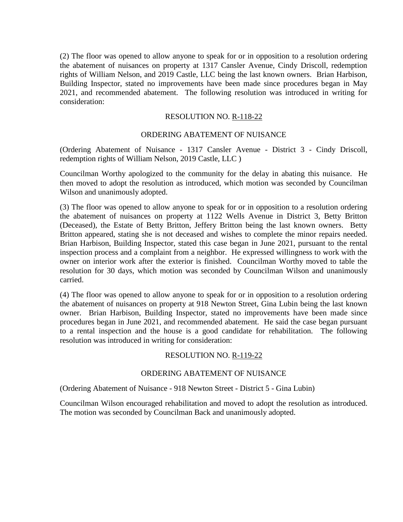(2) The floor was opened to allow anyone to speak for or in opposition to a resolution ordering the abatement of nuisances on property at 1317 Cansler Avenue, Cindy Driscoll, redemption rights of William Nelson, and 2019 Castle, LLC being the last known owners. Brian Harbison, Building Inspector, stated no improvements have been made since procedures began in May 2021, and recommended abatement. The following resolution was introduced in writing for consideration:

### RESOLUTION NO. R-118-22

### ORDERING ABATEMENT OF NUISANCE

(Ordering Abatement of Nuisance - 1317 Cansler Avenue - District 3 - Cindy Driscoll, redemption rights of William Nelson, 2019 Castle, LLC )

Councilman Worthy apologized to the community for the delay in abating this nuisance. He then moved to adopt the resolution as introduced, which motion was seconded by Councilman Wilson and unanimously adopted.

(3) The floor was opened to allow anyone to speak for or in opposition to a resolution ordering the abatement of nuisances on property at 1122 Wells Avenue in District 3, Betty Britton (Deceased), the Estate of Betty Britton, Jeffery Britton being the last known owners. Betty Britton appeared, stating she is not deceased and wishes to complete the minor repairs needed. Brian Harbison, Building Inspector, stated this case began in June 2021, pursuant to the rental inspection process and a complaint from a neighbor. He expressed willingness to work with the owner on interior work after the exterior is finished. Councilman Worthy moved to table the resolution for 30 days, which motion was seconded by Councilman Wilson and unanimously carried.

(4) The floor was opened to allow anyone to speak for or in opposition to a resolution ordering the abatement of nuisances on property at 918 Newton Street, Gina Lubin being the last known owner. Brian Harbison, Building Inspector, stated no improvements have been made since procedures began in June 2021, and recommended abatement. He said the case began pursuant to a rental inspection and the house is a good candidate for rehabilitation. The following resolution was introduced in writing for consideration:

#### RESOLUTION NO. R-119-22

#### ORDERING ABATEMENT OF NUISANCE

(Ordering Abatement of Nuisance - 918 Newton Street - District 5 - Gina Lubin)

Councilman Wilson encouraged rehabilitation and moved to adopt the resolution as introduced. The motion was seconded by Councilman Back and unanimously adopted.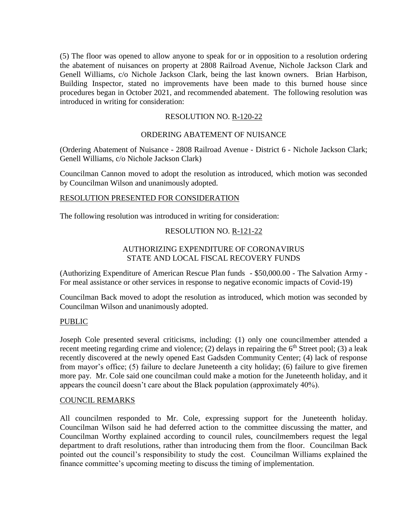(5) The floor was opened to allow anyone to speak for or in opposition to a resolution ordering the abatement of nuisances on property at 2808 Railroad Avenue, Nichole Jackson Clark and Genell Williams, c/o Nichole Jackson Clark, being the last known owners. Brian Harbison, Building Inspector, stated no improvements have been made to this burned house since procedures began in October 2021, and recommended abatement. The following resolution was introduced in writing for consideration:

## RESOLUTION NO. R-120-22

## ORDERING ABATEMENT OF NUISANCE

(Ordering Abatement of Nuisance - 2808 Railroad Avenue - District 6 - Nichole Jackson Clark; Genell Williams, c/o Nichole Jackson Clark)

Councilman Cannon moved to adopt the resolution as introduced, which motion was seconded by Councilman Wilson and unanimously adopted.

### RESOLUTION PRESENTED FOR CONSIDERATION

The following resolution was introduced in writing for consideration:

### RESOLUTION NO. R-121-22

### AUTHORIZING EXPENDITURE OF CORONAVIRUS STATE AND LOCAL FISCAL RECOVERY FUNDS

(Authorizing Expenditure of American Rescue Plan funds - \$50,000.00 - The Salvation Army - For meal assistance or other services in response to negative economic impacts of Covid-19)

Councilman Back moved to adopt the resolution as introduced, which motion was seconded by Councilman Wilson and unanimously adopted.

### PUBLIC

Joseph Cole presented several criticisms, including: (1) only one councilmember attended a recent meeting regarding crime and violence; (2) delays in repairing the  $6<sup>th</sup>$  Street pool; (3) a leak recently discovered at the newly opened East Gadsden Community Center; (4) lack of response from mayor's office; (5) failure to declare Juneteenth a city holiday; (6) failure to give firemen more pay. Mr. Cole said one councilman could make a motion for the Juneteenth holiday, and it appears the council doesn't care about the Black population (approximately 40%).

#### COUNCIL REMARKS

All councilmen responded to Mr. Cole, expressing support for the Juneteenth holiday. Councilman Wilson said he had deferred action to the committee discussing the matter, and Councilman Worthy explained according to council rules, councilmembers request the legal department to draft resolutions, rather than introducing them from the floor. Councilman Back pointed out the council's responsibility to study the cost. Councilman Williams explained the finance committee's upcoming meeting to discuss the timing of implementation.